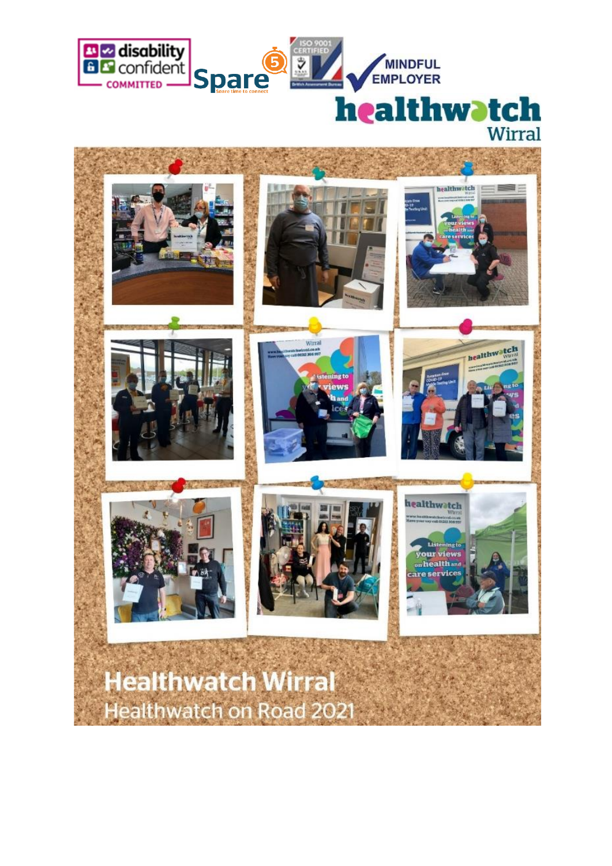

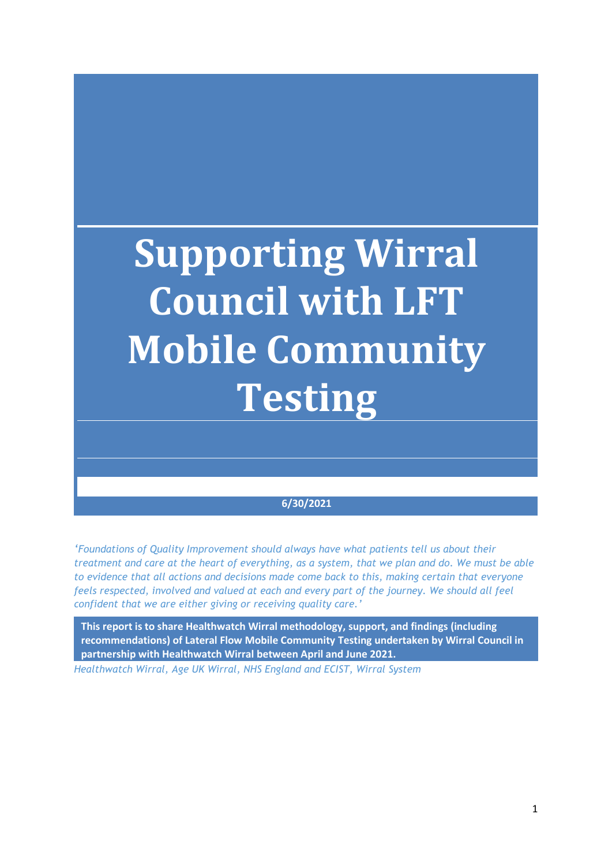# **Supporting Wirral Council with LFT Mobile Community Testing**

#### **6/30/2021**

*'Foundations of Quality Improvement should always have what patients tell us about their treatment and care at the heart of everything, as a system, that we plan and do. We must be able to evidence that all actions and decisions made come back to this, making certain that everyone feels respected, involved and valued at each and every part of the journey. We should all feel confident that we are either giving or receiving quality care.'*

**This report is to share Healthwatch Wirral methodology, support, and findings (including recommendations) of Lateral Flow Mobile Community Testing undertaken by Wirral Council in partnership with Healthwatch Wirral between April and June 2021.** 

*Healthwatch Wirral, Age UK Wirral, NHS England and ECIST, Wirral System*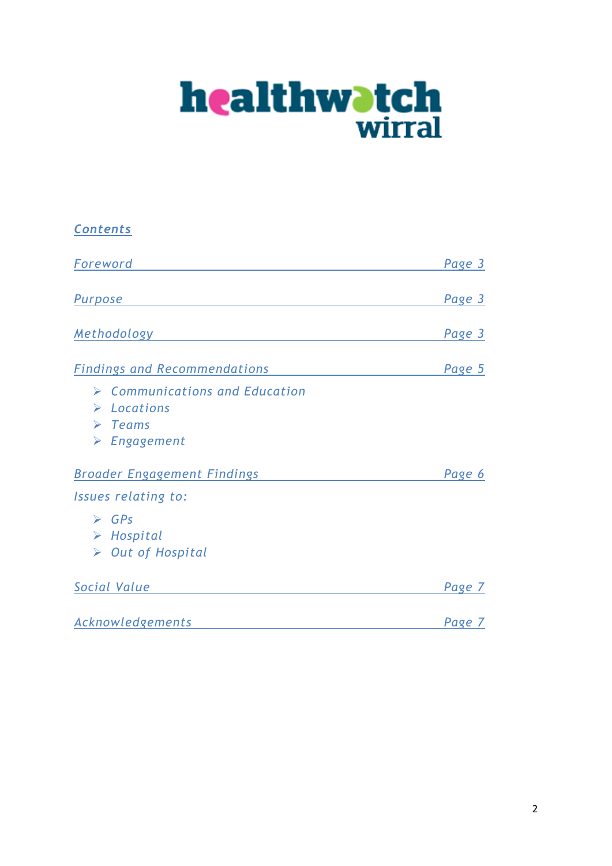

| <b>Contents</b>                                                                                                                      |        |
|--------------------------------------------------------------------------------------------------------------------------------------|--------|
| Foreword                                                                                                                             | Page 3 |
| Purpose                                                                                                                              | Page 3 |
| <b>Methodology</b>                                                                                                                   | Page 3 |
| <b>Findings and Recommendations</b>                                                                                                  | Page 5 |
| $\triangleright$ Communications and Education<br>$\triangleright$ Locations<br>$\triangleright$ Teams<br>$\triangleright$ Engagement |        |
| <b>Broader Engagement Findings</b>                                                                                                   | Page 6 |
| Issues relating to:                                                                                                                  |        |
| $\triangleright$ GPs<br>$\triangleright$ Hospital<br>$\triangleright$ Out of Hospital                                                |        |
| Social Value                                                                                                                         | Page 7 |
| Acknowledgements                                                                                                                     | Page 7 |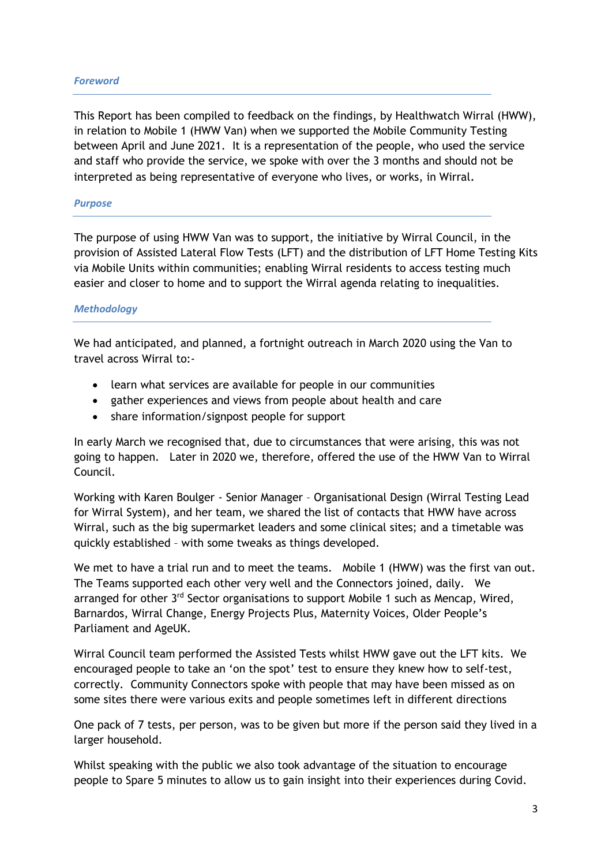#### *Foreword*

This Report has been compiled to feedback on the findings, by Healthwatch Wirral (HWW), in relation to Mobile 1 (HWW Van) when we supported the Mobile Community Testing between April and June 2021. It is a representation of the people, who used the service and staff who provide the service, we spoke with over the 3 months and should not be interpreted as being representative of everyone who lives, or works, in Wirral.

#### *Purpose*

The purpose of using HWW Van was to support, the initiative by Wirral Council, in the provision of Assisted Lateral Flow Tests (LFT) and the distribution of LFT Home Testing Kits via Mobile Units within communities; enabling Wirral residents to access testing much easier and closer to home and to support the Wirral agenda relating to inequalities.

#### *Methodology*

We had anticipated, and planned, a fortnight outreach in March 2020 using the Van to travel across Wirral to:-

- learn what services are available for people in our communities
- gather experiences and views from people about health and care
- share information/signpost people for support

In early March we recognised that, due to circumstances that were arising, this was not going to happen. Later in 2020 we, therefore, offered the use of the HWW Van to Wirral Council.

Working with Karen Boulger - Senior Manager – Organisational Design (Wirral Testing Lead for Wirral System), and her team, we shared the list of contacts that HWW have across Wirral, such as the big supermarket leaders and some clinical sites; and a timetable was quickly established – with some tweaks as things developed.

We met to have a trial run and to meet the teams. Mobile 1 (HWW) was the first van out. The Teams supported each other very well and the Connectors joined, daily. We arranged for other 3<sup>rd</sup> Sector organisations to support Mobile 1 such as Mencap, Wired, Barnardos, Wirral Change, Energy Projects Plus, Maternity Voices, Older People's Parliament and AgeUK.

Wirral Council team performed the Assisted Tests whilst HWW gave out the LFT kits. We encouraged people to take an 'on the spot' test to ensure they knew how to self-test, correctly. Community Connectors spoke with people that may have been missed as on some sites there were various exits and people sometimes left in different directions

One pack of 7 tests, per person, was to be given but more if the person said they lived in a larger household.

Whilst speaking with the public we also took advantage of the situation to encourage people to Spare 5 minutes to allow us to gain insight into their experiences during Covid.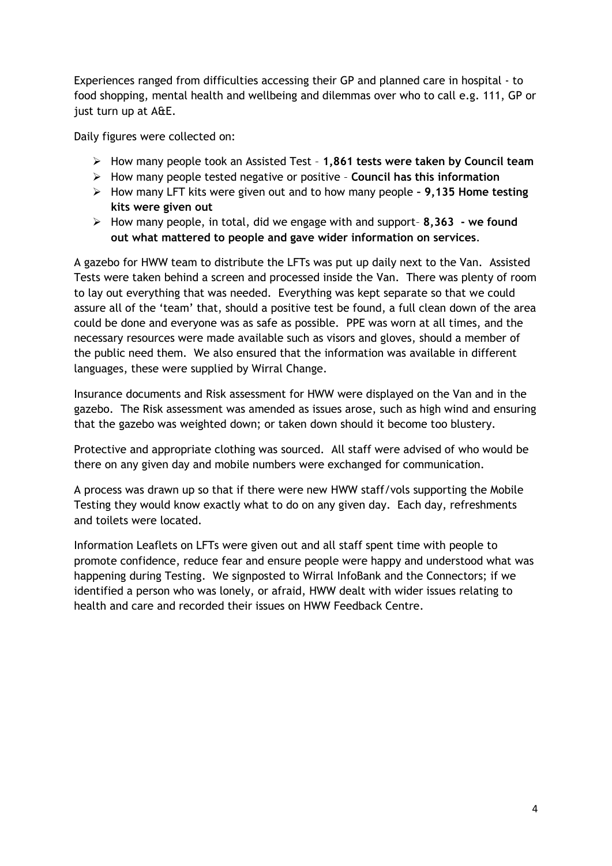Experiences ranged from difficulties accessing their GP and planned care in hospital - to food shopping, mental health and wellbeing and dilemmas over who to call e.g. 111, GP or just turn up at A&E.

Daily figures were collected on:

- ➢ How many people took an Assisted Test **1,861 tests were taken by Council team**
- ➢ How many people tested negative or positive **Council has this information**
- ➢ How many LFT kits were given out and to how many people **– 9,135 Home testing kits were given out**
- ➢ How many people, in total, did we engage with and support– **8,363 - we found out what mattered to people and gave wider information on services**.

A gazebo for HWW team to distribute the LFTs was put up daily next to the Van. Assisted Tests were taken behind a screen and processed inside the Van. There was plenty of room to lay out everything that was needed. Everything was kept separate so that we could assure all of the 'team' that, should a positive test be found, a full clean down of the area could be done and everyone was as safe as possible. PPE was worn at all times, and the necessary resources were made available such as visors and gloves, should a member of the public need them. We also ensured that the information was available in different languages, these were supplied by Wirral Change.

Insurance documents and Risk assessment for HWW were displayed on the Van and in the gazebo. The Risk assessment was amended as issues arose, such as high wind and ensuring that the gazebo was weighted down; or taken down should it become too blustery.

Protective and appropriate clothing was sourced. All staff were advised of who would be there on any given day and mobile numbers were exchanged for communication.

A process was drawn up so that if there were new HWW staff/vols supporting the Mobile Testing they would know exactly what to do on any given day. Each day, refreshments and toilets were located.

Information Leaflets on LFTs were given out and all staff spent time with people to promote confidence, reduce fear and ensure people were happy and understood what was happening during Testing. We signposted to Wirral InfoBank and the Connectors; if we identified a person who was lonely, or afraid, HWW dealt with wider issues relating to health and care and recorded their issues on HWW Feedback Centre.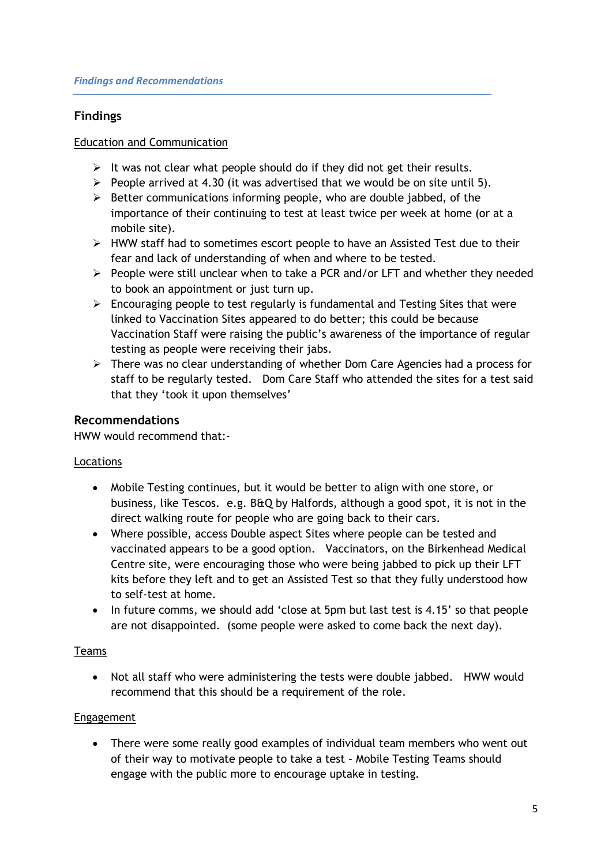# **Findings**

#### Education and Communication

- $\triangleright$  It was not clear what people should do if they did not get their results.
- $\triangleright$  People arrived at 4.30 (it was advertised that we would be on site until 5).
- $\triangleright$  Better communications informing people, who are double jabbed, of the importance of their continuing to test at least twice per week at home (or at a mobile site).
- ➢ HWW staff had to sometimes escort people to have an Assisted Test due to their fear and lack of understanding of when and where to be tested.
- $\triangleright$  People were still unclear when to take a PCR and/or LFT and whether they needed to book an appointment or just turn up.
- $\triangleright$  Encouraging people to test regularly is fundamental and Testing Sites that were linked to Vaccination Sites appeared to do better; this could be because Vaccination Staff were raising the public's awareness of the importance of regular testing as people were receiving their jabs.
- ➢ There was no clear understanding of whether Dom Care Agencies had a process for staff to be regularly tested. Dom Care Staff who attended the sites for a test said that they 'took it upon themselves'

## **Recommendations**

HWW would recommend that:-

#### Locations

- Mobile Testing continues, but it would be better to align with one store, or business, like Tescos. e.g. B&Q by Halfords, although a good spot, it is not in the direct walking route for people who are going back to their cars.
- Where possible, access Double aspect Sites where people can be tested and vaccinated appears to be a good option. Vaccinators, on the Birkenhead Medical Centre site, were encouraging those who were being jabbed to pick up their LFT kits before they left and to get an Assisted Test so that they fully understood how to self-test at home.
- In future comms, we should add 'close at 5pm but last test is 4.15' so that people are not disappointed. (some people were asked to come back the next day).

#### Teams

• Not all staff who were administering the tests were double jabbed. HWW would recommend that this should be a requirement of the role.

#### Engagement

• There were some really good examples of individual team members who went out of their way to motivate people to take a test – Mobile Testing Teams should engage with the public more to encourage uptake in testing.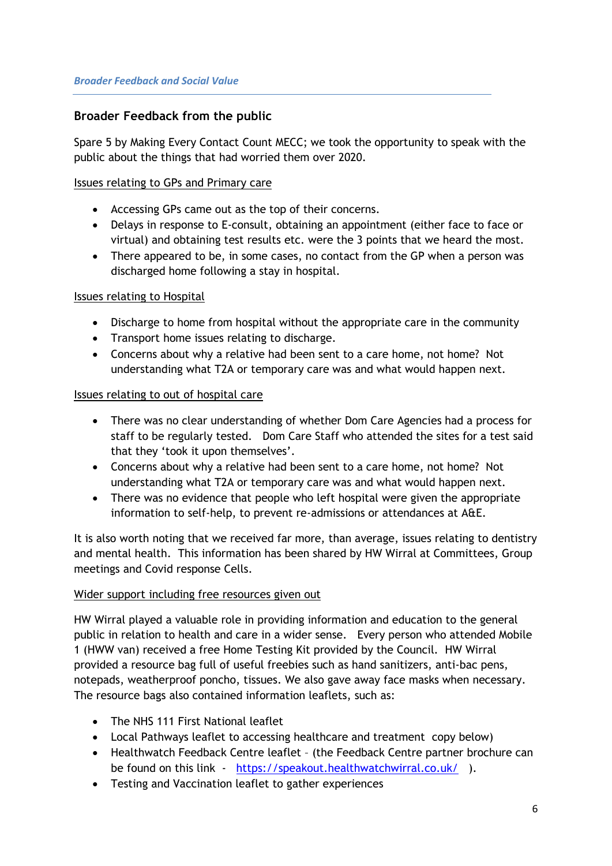# **Broader Feedback from the public**

Spare 5 by Making Every Contact Count MECC; we took the opportunity to speak with the public about the things that had worried them over 2020.

#### Issues relating to GPs and Primary care

- Accessing GPs came out as the top of their concerns.
- Delays in response to E-consult, obtaining an appointment (either face to face or virtual) and obtaining test results etc. were the 3 points that we heard the most.
- There appeared to be, in some cases, no contact from the GP when a person was discharged home following a stay in hospital.

### Issues relating to Hospital

- Discharge to home from hospital without the appropriate care in the community
- Transport home issues relating to discharge.
- Concerns about why a relative had been sent to a care home, not home? Not understanding what T2A or temporary care was and what would happen next.

#### Issues relating to out of hospital care

- There was no clear understanding of whether Dom Care Agencies had a process for staff to be regularly tested. Dom Care Staff who attended the sites for a test said that they 'took it upon themselves'.
- Concerns about why a relative had been sent to a care home, not home? Not understanding what T2A or temporary care was and what would happen next.
- There was no evidence that people who left hospital were given the appropriate information to self-help, to prevent re-admissions or attendances at A&E.

It is also worth noting that we received far more, than average, issues relating to dentistry and mental health. This information has been shared by HW Wirral at Committees, Group meetings and Covid response Cells.

#### Wider support including free resources given out

HW Wirral played a valuable role in providing information and education to the general public in relation to health and care in a wider sense. Every person who attended Mobile 1 (HWW van) received a free Home Testing Kit provided by the Council. HW Wirral provided a resource bag full of useful freebies such as hand sanitizers, anti-bac pens, notepads, weatherproof poncho, tissues. We also gave away face masks when necessary. The resource bags also contained information leaflets, such as:

- The NHS 111 First National leaflet
- Local Pathways leaflet to accessing healthcare and treatment copy below)
- Healthwatch Feedback Centre leaflet (the Feedback Centre partner brochure can be found on this link - <https://speakout.healthwatchwirral.co.uk/>).
- Testing and Vaccination leaflet to gather experiences